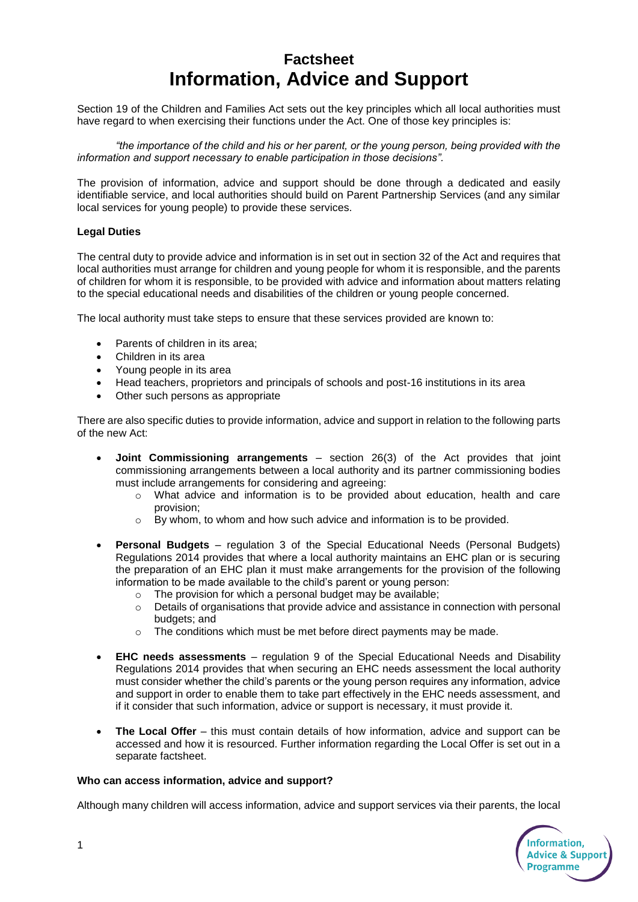## **Factsheet Information, Advice and Support**

Section 19 of the Children and Families Act sets out the key principles which all local authorities must have regard to when exercising their functions under the Act. One of those key principles is:

*"the importance of the child and his or her parent, or the young person, being provided with the information and support necessary to enable participation in those decisions".*

The provision of information, advice and support should be done through a dedicated and easily identifiable service, and local authorities should build on Parent Partnership Services (and any similar local services for young people) to provide these services.

## **Legal Duties**

The central duty to provide advice and information is in set out in section 32 of the Act and requires that local authorities must arrange for children and young people for whom it is responsible, and the parents of children for whom it is responsible, to be provided with advice and information about matters relating to the special educational needs and disabilities of the children or young people concerned.

The local authority must take steps to ensure that these services provided are known to:

- Parents of children in its area;
- Children in its area
- Young people in its area
- Head teachers, proprietors and principals of schools and post-16 institutions in its area
- Other such persons as appropriate

There are also specific duties to provide information, advice and support in relation to the following parts of the new Act:

- **Joint Commissioning arrangements** section 26(3) of the Act provides that joint commissioning arrangements between a local authority and its partner commissioning bodies must include arrangements for considering and agreeing:
	- o What advice and information is to be provided about education, health and care provision;
	- $\circ$  By whom, to whom and how such advice and information is to be provided.
- **Personal Budgets** regulation 3 of the Special Educational Needs (Personal Budgets) Regulations 2014 provides that where a local authority maintains an EHC plan or is securing the preparation of an EHC plan it must make arrangements for the provision of the following information to be made available to the child's parent or young person:
	- $\circ$  The provision for which a personal budget may be available;
	- $\circ$  Details of organisations that provide advice and assistance in connection with personal budgets; and
	- o The conditions which must be met before direct payments may be made.
- **EHC needs assessments** regulation 9 of the Special Educational Needs and Disability Regulations 2014 provides that when securing an EHC needs assessment the local authority must consider whether the child's parents or the young person requires any information, advice and support in order to enable them to take part effectively in the EHC needs assessment, and if it consider that such information, advice or support is necessary, it must provide it.
- **The Local Offer** this must contain details of how information, advice and support can be accessed and how it is resourced. Further information regarding the Local Offer is set out in a separate factsheet.

## **Who can access information, advice and support?**

Although many children will access information, advice and support services via their parents, the local